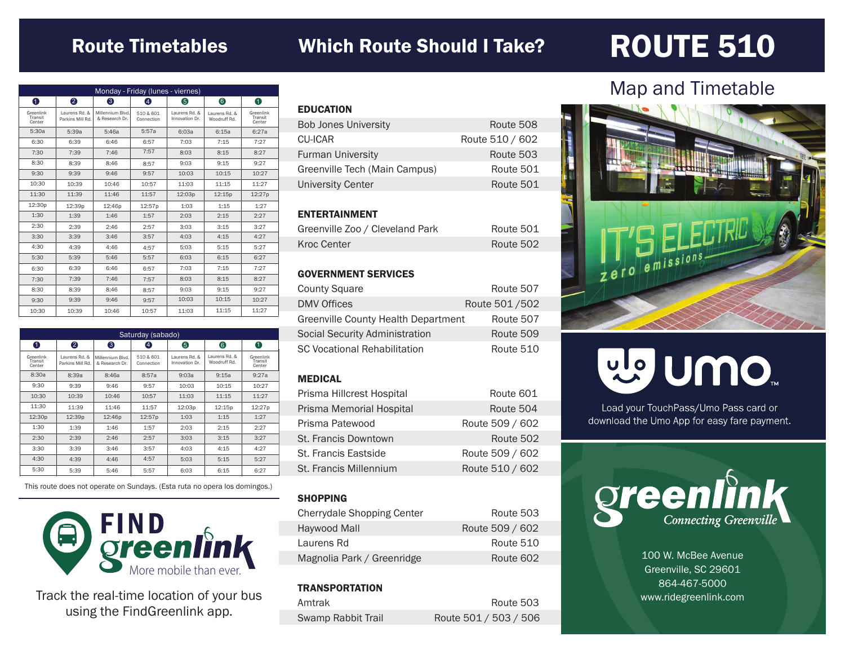# Route Timetables

## Which Route Should I Take?

# ROUTE 510

| Monday - Friday (lunes - viernes) |                                   |                                    |                         |                                 |                               |                                |
|-----------------------------------|-----------------------------------|------------------------------------|-------------------------|---------------------------------|-------------------------------|--------------------------------|
| 0                                 | 2                                 | 6                                  | Φ                       | 6                               | 6                             | 0                              |
| Greenlink<br>Transit<br>Center    | Laurens Rd, &<br>Parkins Mill Rd. | Millennium Blvd.<br>& Research Dr. | 510 & 601<br>Connection | Laurens Rd. &<br>Innovation Dr. | Laurens Rd, &<br>Woodruff Rd. | Greenlink<br>Transit<br>Center |
| 5:30a                             | 5:39a                             | 5:46a                              | 5:57a                   | 6:0.3a                          | 6:15a                         | 6:27a                          |
| 6:30                              | 6:39                              | 6:46                               | 6:57                    | 7:03                            | 7:15                          | 7:27                           |
| 7:30                              | 7:39                              | 7:46                               | 7:57                    | 8:03                            | 8:15                          | 8:27                           |
| 8:30                              | 8:39                              | 8:46                               | 8:57                    | 9:03                            | 9:15                          | 9:27                           |
| 9:30                              | 9:39                              | 9:46                               | 9:57                    | 10:03                           | 10:15                         | 10:27                          |
| 10:30                             | 10:39                             | 10:46                              | 10:57                   | 11:03                           | 11:15                         | 11:27                          |
| 11:30                             | 11:39                             | 11:46                              | 11:57                   | 12:03p                          | 12:15p                        | 12:27p                         |
| 12:30p                            | 12:39p                            | 12:46p                             | 12:57p                  | 1:03                            | 1:15                          | 1:27                           |
| 1:30                              | 1:39                              | 1:46                               | 1:57                    | 2:03                            | 2:15                          | 2:27                           |
| 2:30                              | 2:39                              | 2:46                               | 2:57                    | 3:03                            | 3:15                          | 3:27                           |
| 3:30                              | 3:39                              | 3:46                               | 3:57                    | 4:03                            | 4:15                          | 4:27                           |
| 4:30                              | 4:39                              | 4:46                               | 4:57                    | 5:03                            | 5:15                          | 5:27                           |
| 5:30                              | 5:39                              | 5:46                               | 5:57                    | 6:03                            | 6:15                          | 6:27                           |
| 6:30                              | 6:39                              | 6:46                               | 6:57                    | 7:03                            | 7:15                          | 7:27                           |
| 7:30                              | 7:39                              | 7:46                               | 7:57                    | 8:03                            | 8:15                          | 8:27                           |
| 8:30                              | 8:39                              | 8:46                               | 8:57                    | 9:03                            | 9:15                          | 9:27                           |
| 9:30                              | 9:39                              | 9:46                               | 9:57                    | 10:03                           | 10:15                         | 10:27                          |
| 10:30                             | 10:39                             | 10:46                              | 10:57                   | 11:03                           | 11:15                         | 11:27                          |

| Saturday (sabado)              |                                   |                                    |                         |                                 |                               |                                |
|--------------------------------|-----------------------------------|------------------------------------|-------------------------|---------------------------------|-------------------------------|--------------------------------|
| 0                              | 2                                 | ❸                                  | $\left( 4\right)$       | 6                               | 6                             | 0                              |
| Greenlink<br>Transit<br>Center | Laurens Rd. &<br>Parkins Mill Rd. | Millennium Blvd.<br>& Research Dr. | 510 & 601<br>Connection | Laurens Rd. &<br>Innovation Dr. | Laurens Rd. &<br>Woodruff Rd. | Greenlink<br>Transit<br>Center |
| 8:30a                          | 8:39a                             | 8:46a                              | 8:57a                   | 9:03a                           | 9:15a                         | 9:27a                          |
| 9:30                           | 9:39                              | 9:46                               | 9:57                    | 10:03                           | 10:15                         | 10:27                          |
| 10:30                          | 10:39                             | 10:46                              | 10:57                   | 11:03                           | 11:15                         | 11:27                          |
| 11:30                          | 11:39                             | 11:46                              | 11:57                   | 12:03p                          | 12:15p                        | 12:27p                         |
| 12:30p                         | 12:39p                            | 12:46p                             | 12:57p                  | 1:03                            | 1:15                          | 1:27                           |
| 1:30                           | 1:39                              | 1:46                               | 1:57                    | 2:03                            | 2:15                          | 2:27                           |
| 2:30                           | 2:39                              | 2:46                               | 2:57                    | 3:03                            | 3:15                          | 3:27                           |
| 3:30                           | 3:39                              | 3:46                               | 3:57                    | 4:03                            | 4:15                          | 4:27                           |
| 4:30                           | 4:39                              | 4:46                               | 4:57                    | 5:03                            | 5:15                          | 5:27                           |
| 5:30                           | 5:39                              | 5:46                               | 5:57                    | 6:03                            | 6:15                          | 6:27                           |

This route does not operate on Sundays. (Esta ruta no opera los domingos.)



Track the real-time location of your bus using the FindGreenlink app.

| <b>EDUCATION</b>              |                 |
|-------------------------------|-----------------|
| <b>Bob Jones University</b>   | Route 508       |
| <b>CU-ICAR</b>                | Route 510 / 602 |
| <b>Furman University</b>      | Route 503       |
| Greenville Tech (Main Campus) | Route 501       |
| <b>University Center</b>      | Route 501       |
|                               |                 |

#### ENTERTAINMENT

| Greenville Zoo / Cleveland Park | Route 501 |
|---------------------------------|-----------|
| Kroc Center                     | Route 502 |

#### GOVERNMENT SERVICES

| <b>County Square</b>                | Route 507     |
|-------------------------------------|---------------|
| <b>DMV Offices</b>                  | Route 501/502 |
| Greenville County Health Department | Route 507     |
| Social Security Administration      | Route 509     |
| <b>SC Vocational Rehabilitation</b> | Route 510     |

#### MEDICAL

| Prisma Hillcrest Hospital | Route 601       |
|---------------------------|-----------------|
| Prisma Memorial Hospital  | Route 504       |
| Prisma Patewood           | Route 509 / 602 |
| St. Francis Downtown      | Route 502       |
| St. Francis Eastside      | Route 509 / 602 |
| St. Francis Millennium    | Route 510 / 602 |

#### **SHOPPING**

| <b>Cherrydale Shopping Center</b> | Route 503       |
|-----------------------------------|-----------------|
| Haywood Mall                      | Route 509 / 602 |
| Laurens Rd                        | Route 510       |
| Magnolia Park / Greenridge        | Route 602       |

#### **TRANSPORTATION**

| Amtrak             | Route 503             |
|--------------------|-----------------------|
| Swamp Rabbit Trail | Route 501 / 503 / 506 |

### Map and Timetable



# ng nulo

Load your TouchPass/Umo Pass card or download the Umo App for easy fare payment.



100 W. McBee Avenue Greenville, SC 29601 864-467-5000 www.ridegreenlink.com